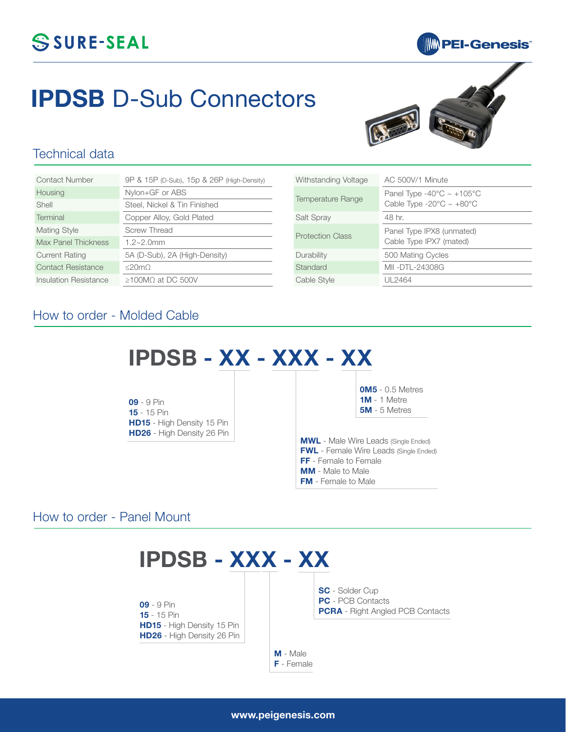## SSURE-SEAL

## **MM** PEI-Genesis®

# **IPDSB** D-Sub Connectors



#### Technical data

| Contact Number        | 9P & 15P (D-Sub), 15p & 26P (High-Density) |
|-----------------------|--------------------------------------------|
| Housing               | Nylon+GF or ABS                            |
| Shell                 | Steel, Nickel & Tin Finished               |
| Terminal              | Copper Alloy, Gold Plated                  |
| <b>Mating Style</b>   | Screw Thread                               |
| Max Panel Thickness   | $1.2 - 2.0$ mm                             |
| <b>Current Rating</b> | 5A (D-Sub), 2A (High-Density)              |
| Contact Resistance    | $\leq$ 20m $\Omega$                        |
| Insulation Resistance | $\geq$ 100MO at DC 500V                    |

| Withstanding Voltage    | AC 500V/1 Minute                                                                              |
|-------------------------|-----------------------------------------------------------------------------------------------|
| Temperature Range       | Panel Type -40 $\degree$ C ~ +105 $\degree$ C<br>Cable Type -20 $\degree$ C ~ +80 $\degree$ C |
| Salt Spray              | 48 hr.                                                                                        |
| <b>Protection Class</b> | Panel Type IPX8 (unmated)<br>Cable Type IPX7 (mated)                                          |
| Durability              | 500 Mating Cycles                                                                             |
| Standard                | MII-DTL-24308G                                                                                |
| Cable Style             | UL 2464                                                                                       |

#### How to order - Molded Cable



How to order - Panel Mount